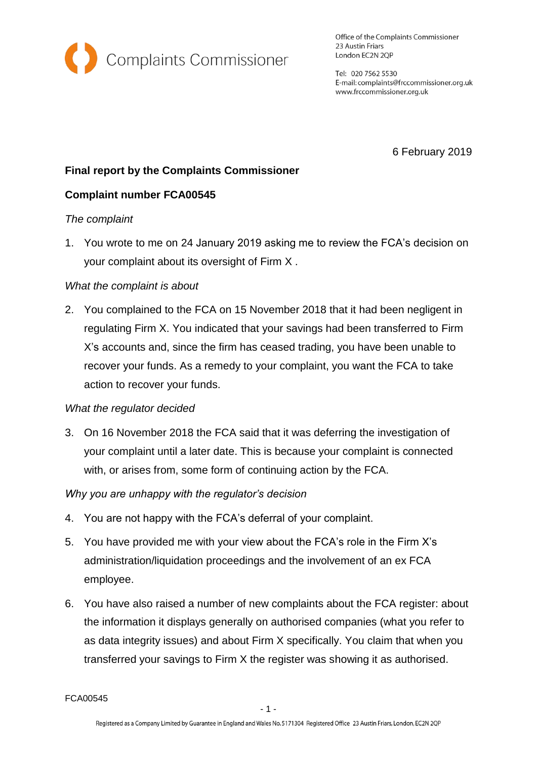

Office of the Complaints Commissioner 23 Austin Friars London EC2N 2QP

Tel: 020 7562 5530 E-mail: complaints@frccommissioner.org.uk www.frccommissioner.org.uk

6 February 2019

# **Final report by the Complaints Commissioner**

## **Complaint number FCA00545**

#### *The complaint*

1. You wrote to me on 24 January 2019 asking me to review the FCA's decision on your complaint about its oversight of Firm X .

### *What the complaint is about*

2. You complained to the FCA on 15 November 2018 that it had been negligent in regulating Firm X. You indicated that your savings had been transferred to Firm X's accounts and, since the firm has ceased trading, you have been unable to recover your funds. As a remedy to your complaint, you want the FCA to take action to recover your funds.

#### *What the regulator decided*

3. On 16 November 2018 the FCA said that it was deferring the investigation of your complaint until a later date. This is because your complaint is connected with, or arises from, some form of continuing action by the FCA.

## *Why you are unhappy with the regulator's decision*

- 4. You are not happy with the FCA's deferral of your complaint.
- 5. You have provided me with your view about the FCA's role in the Firm X's administration/liquidation proceedings and the involvement of an ex FCA employee.
- 6. You have also raised a number of new complaints about the FCA register: about the information it displays generally on authorised companies (what you refer to as data integrity issues) and about Firm X specifically. You claim that when you transferred your savings to Firm X the register was showing it as authorised.

FCA00545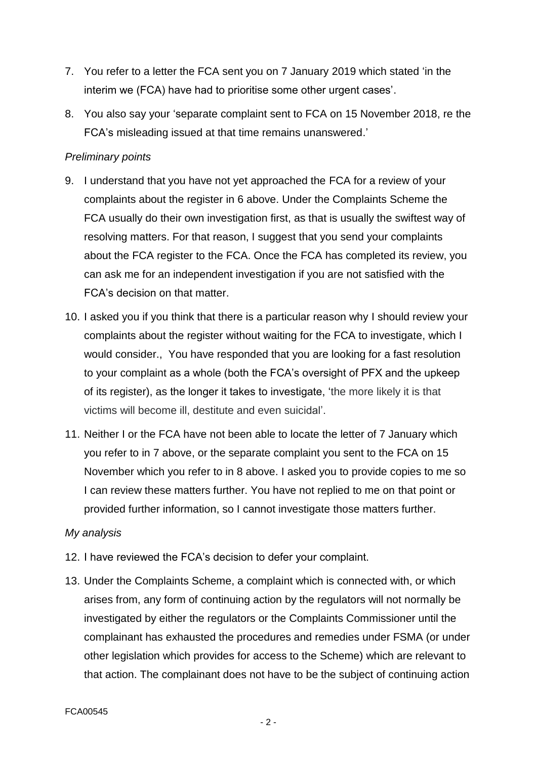- 7. You refer to a letter the FCA sent you on 7 January 2019 which stated 'in the interim we (FCA) have had to prioritise some other urgent cases'.
- 8. You also say your 'separate complaint sent to FCA on 15 November 2018, re the FCA's misleading issued at that time remains unanswered.'

### *Preliminary points*

- 9. I understand that you have not yet approached the FCA for a review of your complaints about the register in 6 above. Under the Complaints Scheme the FCA usually do their own investigation first, as that is usually the swiftest way of resolving matters. For that reason, I suggest that you send your complaints about the FCA register to the FCA. Once the FCA has completed its review, you can ask me for an independent investigation if you are not satisfied with the FCA's decision on that matter.
- 10. I asked you if you think that there is a particular reason why I should review your complaints about the register without waiting for the FCA to investigate, which I would consider., You have responded that you are looking for a fast resolution to your complaint as a whole (both the FCA's oversight of PFX and the upkeep of its register), as the longer it takes to investigate, 'the more likely it is that victims will become ill, destitute and even suicidal'.
- 11. Neither I or the FCA have not been able to locate the letter of 7 January which you refer to in 7 above, or the separate complaint you sent to the FCA on 15 November which you refer to in 8 above. I asked you to provide copies to me so I can review these matters further. You have not replied to me on that point or provided further information, so I cannot investigate those matters further.

#### *My analysis*

- 12. I have reviewed the FCA's decision to defer your complaint.
- 13. Under the Complaints Scheme, a complaint which is connected with, or which arises from, any form of continuing action by the regulators will not normally be investigated by either the regulators or the Complaints Commissioner until the complainant has exhausted the procedures and remedies under FSMA (or under other legislation which provides for access to the Scheme) which are relevant to that action. The complainant does not have to be the subject of continuing action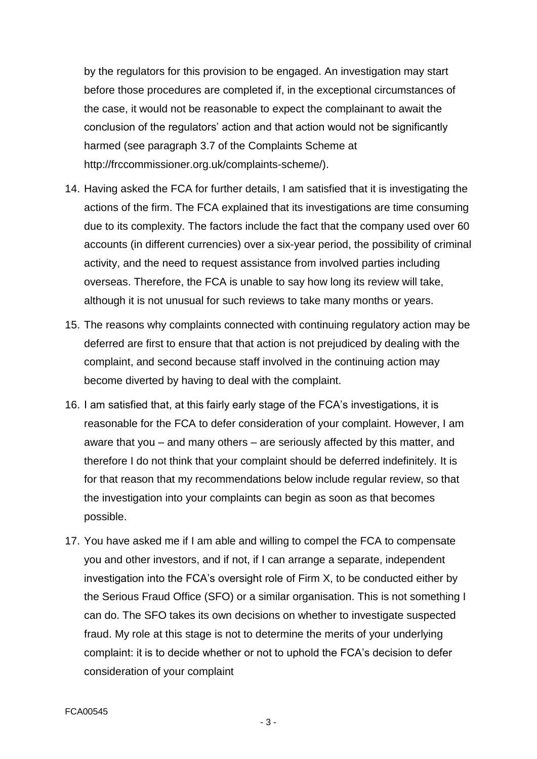by the regulators for this provision to be engaged. An investigation may start before those procedures are completed if, in the exceptional circumstances of the case, it would not be reasonable to expect the complainant to await the conclusion of the regulators' action and that action would not be significantly harmed (see paragraph 3.7 of the Complaints Scheme at http://frccommissioner.org.uk/complaints-scheme/).

- 14. Having asked the FCA for further details, I am satisfied that it is investigating the actions of the firm. The FCA explained that its investigations are time consuming due to its complexity. The factors include the fact that the company used over 60 accounts (in different currencies) over a six-year period, the possibility of criminal activity, and the need to request assistance from involved parties including overseas. Therefore, the FCA is unable to say how long its review will take, although it is not unusual for such reviews to take many months or years.
- 15. The reasons why complaints connected with continuing regulatory action may be deferred are first to ensure that that action is not prejudiced by dealing with the complaint, and second because staff involved in the continuing action may become diverted by having to deal with the complaint.
- 16. I am satisfied that, at this fairly early stage of the FCA's investigations, it is reasonable for the FCA to defer consideration of your complaint. However, I am aware that you – and many others – are seriously affected by this matter, and therefore I do not think that your complaint should be deferred indefinitely. It is for that reason that my recommendations below include regular review, so that the investigation into your complaints can begin as soon as that becomes possible.
- 17. You have asked me if I am able and willing to compel the FCA to compensate you and other investors, and if not, if I can arrange a separate, independent investigation into the FCA's oversight role of Firm X, to be conducted either by the Serious Fraud Office (SFO) or a similar organisation. This is not something I can do. The SFO takes its own decisions on whether to investigate suspected fraud. My role at this stage is not to determine the merits of your underlying complaint: it is to decide whether or not to uphold the FCA's decision to defer consideration of your complaint

- 3 -